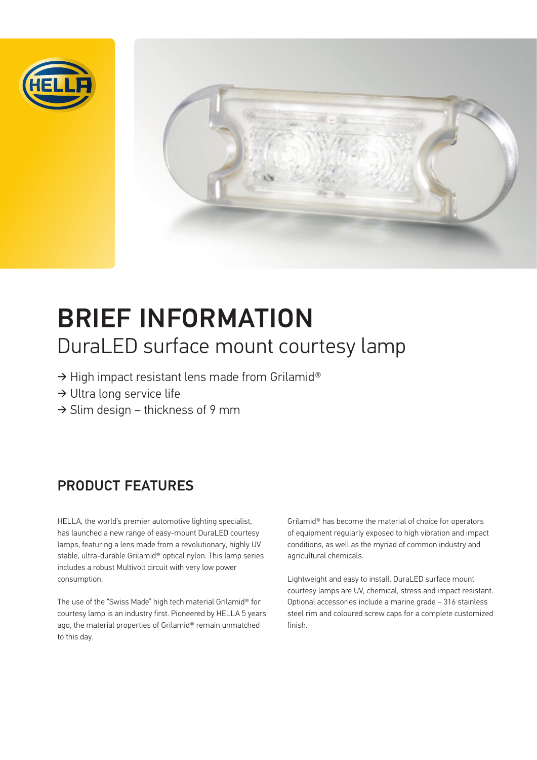



# BRIEF INFORMATION DuraLED surface mount courtesy lamp

- → High impact resistant lens made from Grilamid®
- ➔ Ultra long service life
- $\rightarrow$  Slim design thickness of 9 mm

## PRODUCT FEATURES

HELLA, the world's premier automotive lighting specialist, has launched a new range of easy-mount DuraLED courtesy lamps, featuring a lens made from a revolutionary, highly UV stable, ultra-durable Grilamid® optical nylon. This lamp series includes a robust Multivolt circuit with very low power consumption.

The use of the "Swiss Made" high tech material Grilamid® for courtesy lamp is an industry first. Pioneered by HELLA 5 years ago, the material properties of Grilamid® remain unmatched to this day.

Grilamid® has become the material of choice for operators of equipment regularly exposed to high vibration and impact conditions, as well as the myriad of common industry and agricultural chemicals.

Lightweight and easy to install, DuraLED surface mount courtesy lamps are UV, chemical, stress and impact resistant. Optional accessories include a marine grade – 316 stainless steel rim and coloured screw caps for a complete customized finish.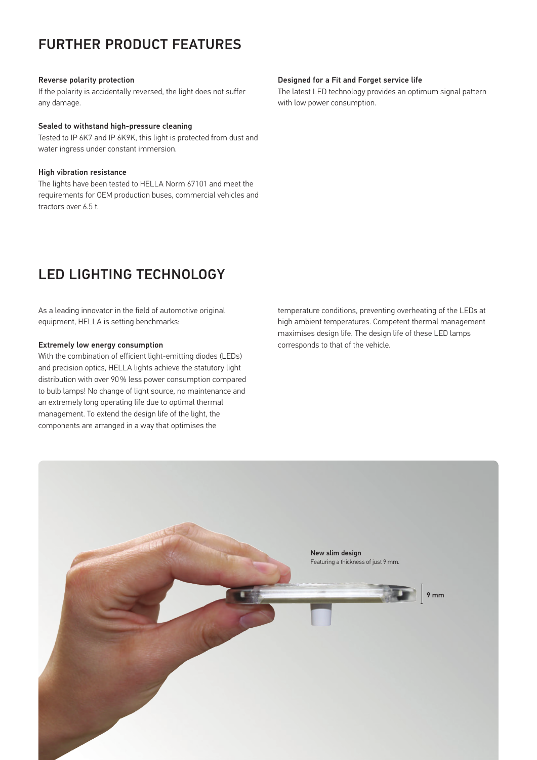### FURTHER PRODUCT FEATURES

#### Reverse polarity protection

If the polarity is accidentally reversed, the light does not suffer any damage.

#### Sealed to withstand high-pressure cleaning

Tested to IP 6K7 and IP 6K9K, this light is protected from dust and water ingress under constant immersion.

#### High vibration resistance

The lights have been tested to HELLA Norm 67101 and meet the requirements for OEM production buses, commercial vehicles and tractors over 6.5 t.

### LED LIGHTING TECHNOLOGY

As a leading innovator in the field of automotive original equipment, HELLA is setting benchmarks:

#### Extremely low energy consumption

With the combination of efficient light-emitting diodes (LEDs) and precision optics, HELLA lights achieve the statutory light distribution with over 90 % less power consumption compared to bulb lamps! No change of light source, no maintenance and an extremely long operating life due to optimal thermal management. To extend the design life of the light, the components are arranged in a way that optimises the

#### Designed for a Fit and Forget service life

The latest LED technology provides an optimum signal pattern with low power consumption.

temperature conditions, preventing overheating of the LEDs at high ambient temperatures. Competent thermal management maximises design life. The design life of these LED lamps corresponds to that of the vehicle.

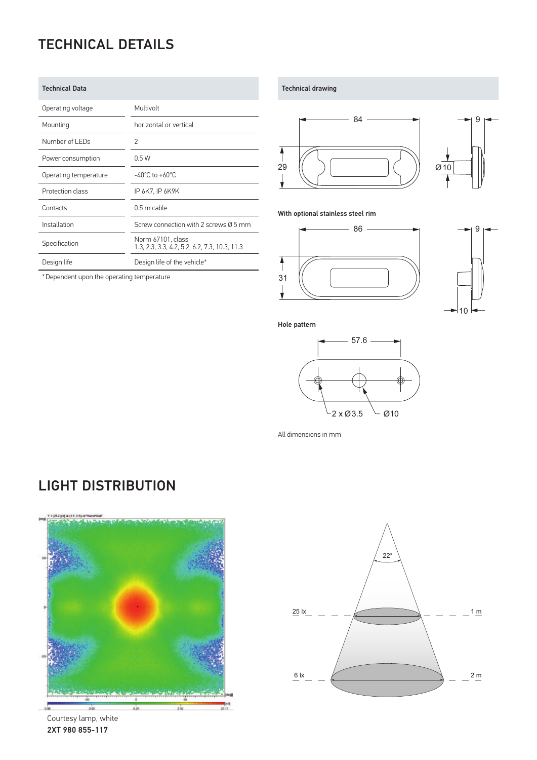# TECHNICAL DETAILS

| <b>Technical Data</b> |                                                                    |
|-----------------------|--------------------------------------------------------------------|
| Operating voltage     | Multivolt                                                          |
| Mounting              | horizontal or vertical                                             |
| Number of LEDs        | $\overline{2}$                                                     |
| Power consumption     | 0.5W                                                               |
| Operating temperature | $-40^{\circ}$ C to $+60^{\circ}$ C                                 |
| Protection class      | IP 6K7, IP 6K9K                                                    |
| Contacts              | $0.5$ m cable                                                      |
| Installation          | Screw connection with 2 screws Ø 5 mm                              |
| Specification         | Norm 67101, class<br>1.3, 2.3, 3.3, 4.2, 5.2, 6.2, 7.3, 10.3, 11.3 |
| Design life           | Design life of the vehicle*                                        |

\*Dependent upon the operating temperature

Technical drawing





With optional stainless steel rim





Hole pattern



All dimensions in mm

### LIGHT DISTRIBUTION